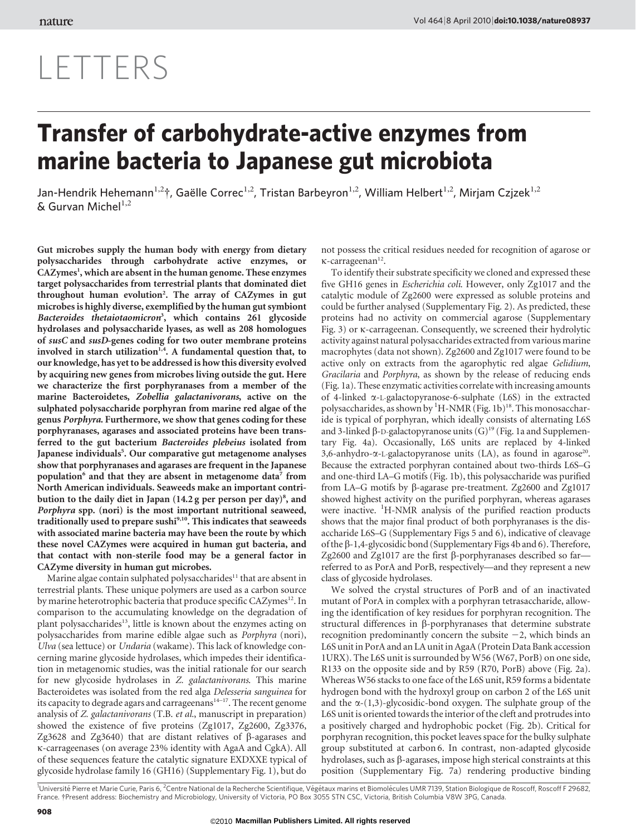# LETTERS

## Transfer of carbohydrate-active enzymes from marine bacteria to Japanese gut microbiota

Jan-Hendrik Hehemann<sup>1,2</sup>†, Gaëlle Correc<sup>1,2</sup>, Tristan Barbeyron<sup>1,2</sup>, William Helbert<sup>1,2</sup>, Mirjam Czjzek<sup>1,2</sup>  $\&$  Gurvan Michel<sup>1,2</sup>

Gut microbes supply the human body with energy from dietary polysaccharides through carbohydrate active enzymes, or CAZymes<sup>1</sup>, which are absent in the human genome. These enzymes target polysaccharides from terrestrial plants that dominated diet throughout human evolution<sup>2</sup>. The array of CAZymes in gut microbes is highly diverse, exemplified by the human gut symbiont Bacteroides thetaiotaomicron<sup>3</sup>, which contains 261 glycoside hydrolases and polysaccharide lyases, as well as 208 homologues of susC and susD-genes coding for two outer membrane proteins involved in starch utilization<sup>1,4</sup>. A fundamental question that, to our knowledge, has yet to be addressed is how this diversity evolved by acquiring new genes from microbes living outside the gut. Here we characterize the first porphyranases from a member of the marine Bacteroidetes, Zobellia galactanivorans, active on the sulphated polysaccharide porphyran from marine red algae of the genus Porphyra. Furthermore, we show that genes coding for these porphyranases, agarases and associated proteins have been transferred to the gut bacterium Bacteroides plebeius isolated from Japanese individuals<sup>5</sup>. Our comparative gut metagenome analyses show that porphyranases and agarases are frequent in the Japanese population<sup>6</sup> and that they are absent in metagenome data<sup>7</sup> from North American individuals. Seaweeds make an important contribution to the daily diet in Japan (14.2 g per person per day)<sup>8</sup>, and Porphyra spp. (nori) is the most important nutritional seaweed, traditionally used to prepare sushi<sup>9,10</sup>. This indicates that seaweeds with associated marine bacteria may have been the route by which these novel CAZymes were acquired in human gut bacteria, and that contact with non-sterile food may be a general factor in CAZyme diversity in human gut microbes.

Marine algae contain sulphated polysaccharides<sup>11</sup> that are absent in terrestrial plants. These unique polymers are used as a carbon source by marine heterotrophic bacteria that produce specific CAZymes<sup>12</sup>. In comparison to the accumulating knowledge on the degradation of plant polysaccharides<sup>13</sup>, little is known about the enzymes acting on polysaccharides from marine edible algae such as Porphyra (nori), Ulva (sea lettuce) or Undaria (wakame). This lack of knowledge concerning marine glycoside hydrolases, which impedes their identification in metagenomic studies, was the initial rationale for our search for new glycoside hydrolases in Z. galactanivorans. This marine Bacteroidetes was isolated from the red alga Delesseria sanguinea for its capacity to degrade agars and carrageenans<sup>14-17</sup>. The recent genome analysis of Z. galactanivorans (T.B. et al., manuscript in preparation) showed the existence of five proteins (Zg1017, Zg2600, Zg3376, Zg3628 and Zg3640) that are distant relatives of b-agarases and k-carrageenases (on average 23% identity with AgaA and CgkA). All of these sequences feature the catalytic signature EXDXXE typical of glycoside hydrolase family 16 (GH16) (Supplementary Fig. 1), but do

not possess the critical residues needed for recognition of agarose or  $\kappa$ -carrageenan<sup>12</sup>.

To identify their substrate specificity we cloned and expressed these five GH16 genes in Escherichia coli. However, only Zg1017 and the catalytic module of Zg2600 were expressed as soluble proteins and could be further analysed (Supplementary Fig. 2). As predicted, these proteins had no activity on commercial agarose (Supplementary Fig. 3) or  $\kappa$ -carrageenan. Consequently, we screened their hydrolytic activity against natural polysaccharides extracted from various marine macrophytes (data not shown). Zg2600 and Zg1017 were found to be active only on extracts from the agarophytic red algae Gelidium, Gracilaria and Porphyra, as shown by the release of reducing ends (Fig. 1a). These enzymatic activities correlate with increasing amounts of 4-linked  $\alpha$ -L-galactopyranose-6-sulphate (L6S) in the extracted polysaccharides, as shown by <sup>1</sup>H-NMR (Fig. 1b)<sup>18</sup>. This monosaccharide is typical of porphyran, which ideally consists of alternating L6S and 3-linked  $\beta$ -D-galactopyranose units  $(G)^{19}$  (Fig. 1a and Supplementary Fig. 4a). Occasionally, L6S units are replaced by 4-linked  $3,6$ -anhydro- $\alpha$ -L-galactopyranose units (LA), as found in agarose<sup>20</sup>. Because the extracted porphyran contained about two-thirds L6S–G and one-third LA–G motifs (Fig. 1b), this polysaccharide was purified from LA–G motifs by b-agarase pre-treatment. Zg2600 and Zg1017 showed highest activity on the purified porphyran, whereas agarases were inactive. <sup>1</sup>H-NMR analysis of the purified reaction products shows that the major final product of both porphyranases is the disaccharide L6S–G (Supplementary Figs 5 and 6), indicative of cleavage of the  $\beta$ -1,4-glycosidic bond (Supplementary Figs 4b and 6). Therefore, Zg2600 and Zg1017 are the first  $\beta$ -porphyranases described so farreferred to as PorA and PorB, respectively—and they represent a new class of glycoside hydrolases.

We solved the crystal structures of PorB and of an inactivated mutant of PorA in complex with a porphyran tetrasaccharide, allowing the identification of key residues for porphyran recognition. The structural differences in  $\beta$ -porphyranases that determine substrate recognition predominantly concern the subsite  $-2$ , which binds an L6S unit in PorA and an LA unit in AgaA (Protein Data Bank accession 1URX). The L6S unit is surrounded by W56 (W67, PorB) on one side, R133 on the opposite side and by R59 (R70, PorB) above (Fig. 2a). Whereas W56 stacks to one face of the L6S unit, R59 forms a bidentate hydrogen bond with the hydroxyl group on carbon 2 of the L6S unit and the  $\alpha$ -(1,3)-glycosidic-bond oxygen. The sulphate group of the L6S unit is oriented towards the interior of the cleft and protrudes into a positively charged and hydrophobic pocket (Fig. 2b). Critical for porphyran recognition, this pocket leaves space for the bulky sulphate group substituted at carbon 6. In contrast, non-adapted glycoside hydrolases, such as  $\beta$ -agarases, impose high sterical constraints at this position (Supplementary Fig. 7a) rendering productive binding

<sup>1</sup>Université Pierre et Marie Curie, Paris 6, <sup>2</sup>Centre National de la Recherche Scientifique, Végétaux marins et Biomolécules UMR 7139, Station Biologique de Roscoff, Roscoff F 29682, France. {Present address: Biochemistry and Microbiology, University of Victoria, PO Box 3055 STN CSC, Victoria, British Columbia V8W 3PG, Canada.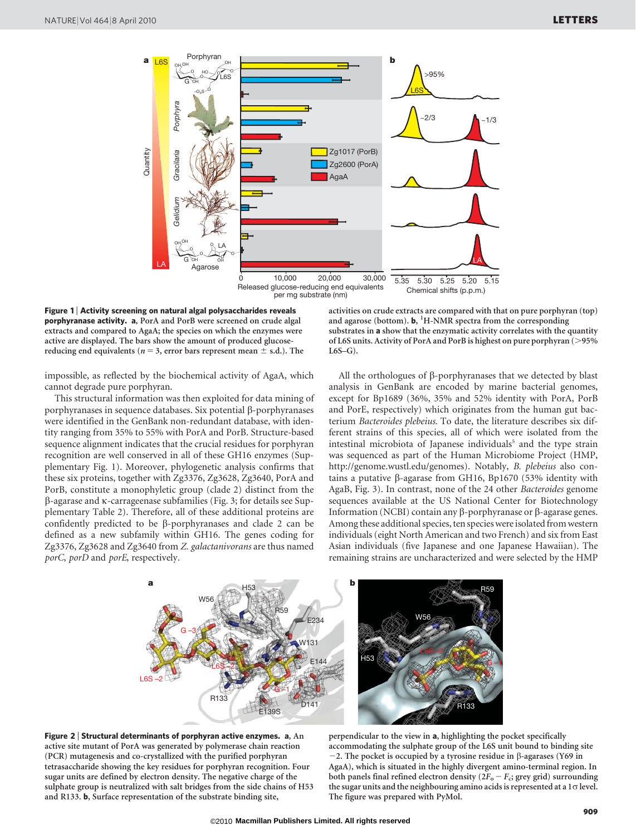

Figure 1 <sup>|</sup> Activity screening on natural algal polysaccharides reveals porphyranase activity. a, PorA and PorB were screened on crude algal extracts and compared to AgaA; the species on which the enzymes were active are displayed. The bars show the amount of produced glucosereducing end equivalents ( $n = 3$ , error bars represent mean  $\pm$  s.d.). The

impossible, as reflected by the biochemical activity of AgaA, which cannot degrade pure porphyran.

This structural information was then exploited for data mining of porphyranases in sequence databases. Six potential  $\beta$ -porphyranases were identified in the GenBank non-redundant database, with identity ranging from 35% to 55% with PorA and PorB. Structure-based sequence alignment indicates that the crucial residues for porphyran recognition are well conserved in all of these GH16 enzymes (Supplementary Fig. 1). Moreover, phylogenetic analysis confirms that these six proteins, together with Zg3376, Zg3628, Zg3640, PorA and PorB, constitute a monophyletic group (clade 2) distinct from the b-agarase and k-carrageenase subfamilies (Fig. 3; for details see Supplementary Table 2). Therefore, all of these additional proteins are confidently predicted to be  $\beta$ -porphyranases and clade 2 can be defined as a new subfamily within GH16. The genes coding for Zg3376, Zg3628 and Zg3640 from Z. galactanivorans are thus named porC, porD and porE, respectively.

activities on crude extracts are compared with that on pure porphyran (top) and agarose (bottom). **b**, <sup>1</sup>H-NMR spectra from the corresponding substrates in a show that the enzymatic activity correlates with the quantity of L6S units. Activity of PorA and PorB is highest on pure porphyran (>95% L6S–G).

All the orthologues of  $\beta$ -porphyranases that we detected by blast analysis in GenBank are encoded by marine bacterial genomes, except for Bp1689 (36%, 35% and 52% identity with PorA, PorB and PorE, respectively) which originates from the human gut bacterium Bacteroides plebeius. To date, the literature describes six different strains of this species, all of which were isolated from the intestinal microbiota of Japanese individuals<sup>5</sup> and the type strain was sequenced as part of the Human Microbiome Project (HMP, [http://genome.wustl.edu/genomes\)](http://genome.wustl.edu/genomes). Notably, B. plebeius also contains a putative  $\beta$ -agarase from GH16, Bp1670 (53% identity with AgaB, Fig. 3). In contrast, none of the 24 other Bacteroides genome sequences available at the US National Center for Biotechnology Information (NCBI) contain any  $\beta$ -porphyranase or  $\beta$ -agarase genes. Among these additional species, ten species were isolated from western individuals (eight North American and two French) and six from East Asian individuals (five Japanese and one Japanese Hawaiian). The remaining strains are uncharacterized and were selected by the HMP





perpendicular to the view in a, highlighting the pocket specifically accommodating the sulphate group of the L6S unit bound to binding site  $-2$ . The pocket is occupied by a tyrosine residue in  $\beta$ -agarases (Y69 in AgaA), which is situated in the highly divergent amino-terminal region. In both panels final refined electron density  $(2F_o - F_c;$  grey grid) surrounding the sugar units and the neighbouring amino acids is represented at a  $1\sigma$  level. The figure was prepared with PyMol.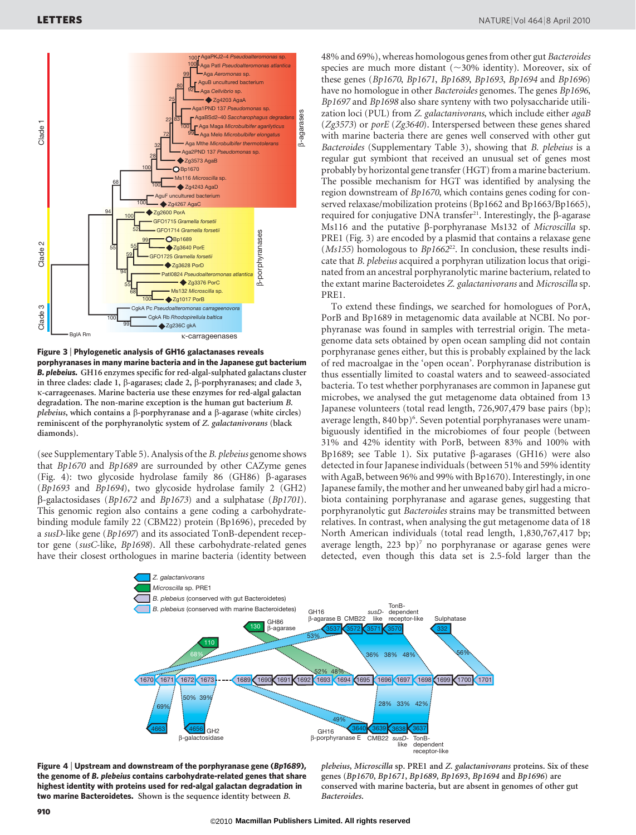

Figure 3 <sup>|</sup> Phylogenetic analysis of GH16 galactanases reveals porphyranases in many marine bacteria and in the Japanese gut bacterium B. plebeius. GH16 enzymes specific for red-algal-sulphated galactans cluster in three clades: clade 1,  $\beta$ -agarases; clade 2,  $\beta$ -porphyranases; and clade 3, k-carrageenases. Marine bacteria use these enzymes for red-algal galactan degradation. The non-marine exception is the human gut bacterium B. plebeius, which contains a  $\beta$ -porphyranase and a  $\beta$ -agarase (white circles) reminiscent of the porphyranolytic system of Z. galactanivorans (black diamonds).

(see Supplementary Table 5). Analysis of the B. plebeius genome shows that Bp1670 and Bp1689 are surrounded by other CAZyme genes (Fig. 4): two glycoside hydrolase family 86 (GH86)  $\beta$ -agarases (Bp1693 and Bp1694), two glycoside hydrolase family 2 (GH2) b-galactosidases (Bp1672 and Bp1673) and a sulphatase (Bp1701). This genomic region also contains a gene coding a carbohydratebinding module family 22 (CBM22) protein (Bp1696), preceded by a susD-like gene (Bp1697) and its associated TonB-dependent receptor gene (susC-like, Bp1698). All these carbohydrate-related genes have their closest orthologues in marine bacteria (identity between 48% and 69%), whereas homologous genes from other gut Bacteroides species are much more distant ( $\sim$ 30% identity). Moreover, six of these genes (Bp1670, Bp1671, Bp1689, Bp1693, Bp1694 and Bp1696) have no homologue in other Bacteroides genomes. The genes Bp1696, Bp1697 and Bp1698 also share synteny with two polysaccharide utilization loci (PUL) from Z. galactanivorans, which include either agaB  $(Zg3573)$  or porE (Zg3640). Interspersed between these genes shared with marine bacteria there are genes well conserved with other gut Bacteroides (Supplementary Table 3), showing that B. plebeius is a regular gut symbiont that received an unusual set of genes most probably by horizontal gene transfer (HGT) from a marine bacterium. The possible mechanism for HGT was identified by analysing the region downstream of Bp1670, which contains genes coding for conserved relaxase/mobilization proteins (Bp1662 and Bp1663/Bp1665), required for conjugative DNA transfer<sup>21</sup>. Interestingly, the  $\beta$ -agarase Ms116 and the putative β-porphyranase Ms132 of *Microscilla* sp. PRE1 (Fig. 3) are encoded by a plasmid that contains a relaxase gene (*Ms155*) homologous to  $Bp1662^{22}$ . In conclusion, these results indicate that B. plebeius acquired a porphyran utilization locus that originated from an ancestral porphyranolytic marine bacterium, related to the extant marine Bacteroidetes Z. galactanivorans and Microscilla sp. PRE1.

To extend these findings, we searched for homologues of PorA, PorB and Bp1689 in metagenomic data available at NCBI. No porphyranase was found in samples with terrestrial origin. The metagenome data sets obtained by open ocean sampling did not contain porphyranase genes either, but this is probably explained by the lack of red macroalgae in the 'open ocean'. Porphyranase distribution is thus essentially limited to coastal waters and to seaweed-associated bacteria. To test whether porphyranases are common in Japanese gut microbes, we analysed the gut metagenome data obtained from 13 Japanese volunteers (total read length, 726,907,479 base pairs (bp); average length, 840 bp)<sup>6</sup>. Seven potential porphyranases were unambiguously identified in the microbiomes of four people (between 31% and 42% identity with PorB, between 83% and 100% with Bp1689; see Table 1). Six putative  $\beta$ -agarases (GH16) were also detected in four Japanese individuals (between 51% and 59% identity with AgaB, between 96% and 99% with Bp1670). Interestingly, in one Japanese family, the mother and her unweaned baby girl had a microbiota containing porphyranase and agarase genes, suggesting that porphyranolytic gut Bacteroides strains may be transmitted between relatives. In contrast, when analysing the gut metagenome data of 18 North American individuals (total read length, 1,830,767,417 bp; average length,  $223$  bp)<sup>7</sup> no porphyranase or agarase genes were detected, even though this data set is 2.5-fold larger than the



Figure 4 | Upstream and downstream of the porphyranase gene (Bp1689), the genome of B. plebeius contains carbohydrate-related genes that share highest identity with proteins used for red-algal galactan degradation in two marine Bacteroidetes. Shown is the sequence identity between B.

plebeius, Microscilla sp. PRE1 and Z. galactanivorans proteins. Six of these genes (Bp1670, Bp1671, Bp1689, Bp1693, Bp1694 and Bp1696) are conserved with marine bacteria, but are absent in genomes of other gut **Bacteroides**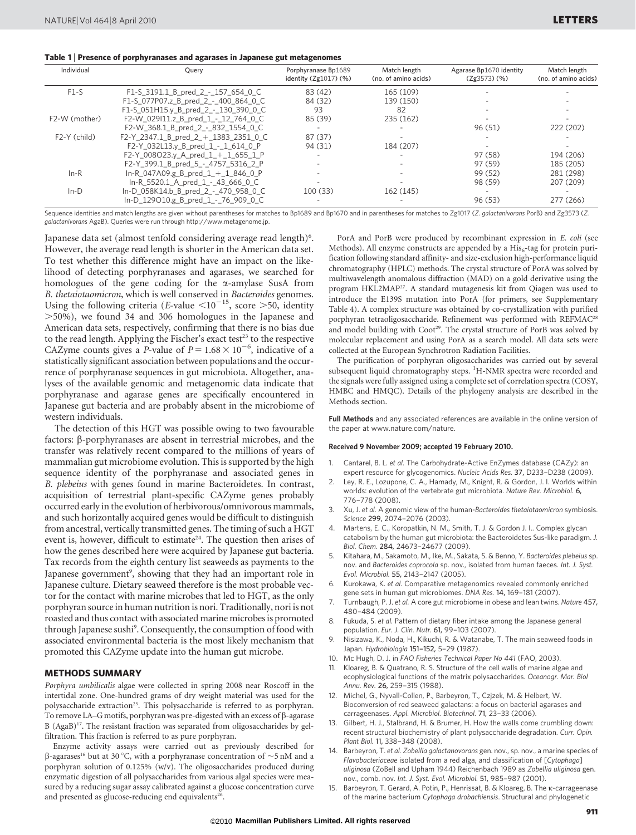Table 1 <sup>|</sup> Presence of porphyranases and agarases in Japanese gut metagenomes

| Individual    | Ouerv                                  | Porphyranase Bp1689<br>identity (Zg1017) (%) | Match length<br>(no. of amino acids) | Agarase Bp1670 identity<br>(Zg3573) (%) | Match length<br>(no. of amino acids) |
|---------------|----------------------------------------|----------------------------------------------|--------------------------------------|-----------------------------------------|--------------------------------------|
| $F1-S$        | F1-S_3191.1_B_pred_2_-_157_654_0_C     | 83 (42)                                      | 165 (109)                            |                                         |                                      |
|               | F1-S 077P07.z B pred 2 - 400 864 0 C   | 84 (32)                                      | 139 (150)                            |                                         |                                      |
|               | F1-S_051H15.y_B_pred_2_-_130_390_0_C   | 93                                           | 82                                   |                                         |                                      |
| F2-W (mother) | F2-W_029I11.z_B_pred_1_-_12_764_0_C    | 85 (39)                                      | 235 (162)                            |                                         |                                      |
|               | F2-W_368.1_B_pred_2_-_832_1554_0_C     |                                              |                                      | 96 (51)                                 | 222 (202)                            |
| F2-Y (child)  | F2-Y 2347.1 B pred $2 + 1383$ 2351 0 C | 87 (37)                                      |                                      |                                         |                                      |
|               | F2-Y_032L13.y_B_pred_1_-_1_614_0_P     | 94 (31)                                      | 184 (207)                            |                                         |                                      |
|               | F2-Y 008O23.y A pred $1 + 1655$ 1 P    |                                              |                                      | 97 (58)                                 | 194 (206)                            |
|               | F2-Y_399.1_B_pred_5_-_4757_5316_2_P    |                                              |                                      | 97 (59)                                 | 185 (205)                            |
| $In-R$        | $In-R_047A09.g_B_{pred_1+1846_0 P$     |                                              |                                      | 99 (52)                                 | 281 (298)                            |
|               | In-R 5520.1 A pred 1 - 43 666 0 C      |                                              |                                      | 98 (59)                                 | 207 (209)                            |
| $In-D$        | In-D 058K14.b B pred 2 - 470 958 0 C   | 100(33)                                      | 162 (145)                            | $\overline{\phantom{a}}$                |                                      |
|               | In-D_129O10.g_B_pred_1_-_76_909_0_C    |                                              |                                      | 96 (53)                                 | 277 (266)                            |

Sequence identities and match lengths are given without parentheses for matches to Bp1689 and Bp1670 and in parentheses for matches to Zg1017 (Z. galactanivorans PorB) and Zg3573 (Z. galactanivorans AgaB). Queries were run through<http://www.metagenome.jp>.

Japanese data set (almost tenfold considering average read length) $^6$ . However, the average read length is shorter in the American data set. To test whether this difference might have an impact on the likelihood of detecting porphyranases and agarases, we searched for homologues of the gene coding for the  $\alpha$ -amylase SusA from B. thetaiotaomicron, which is well conserved in Bacteroides genomes. Using the following criteria (E-value  $\leq 10^{-15}$ , score >50, identity  $>50\%$ ), we found 34 and 306 homologues in the Japanese and American data sets, respectively, confirming that there is no bias due to the read length. Applying the Fischer's exact test<sup>23</sup> to the respective CAZyme counts gives a *P*-value of  $P = 1.68 \times 10^{-6}$ , indicative of a statistically significant association between populations and the occurrence of porphyranase sequences in gut microbiota. Altogether, analyses of the available genomic and metagenomic data indicate that porphyranase and agarase genes are specifically encountered in Japanese gut bacteria and are probably absent in the microbiome of western individuals.

The detection of this HGT was possible owing to two favourable factors: b-porphyranases are absent in terrestrial microbes, and the transfer was relatively recent compared to the millions of years of mammalian gut microbiome evolution. This is supported by the high sequence identity of the porphyranase and associated genes in B. plebeius with genes found in marine Bacteroidetes. In contrast, acquisition of terrestrial plant-specific CAZyme genes probably occurred early in the evolution of herbivorous/omnivorous mammals, and such horizontally acquired genes would be difficult to distinguish from ancestral, vertically transmitted genes. The timing of such a HGT event is, however, difficult to estimate<sup>24</sup>. The question then arises of how the genes described here were acquired by Japanese gut bacteria. Tax records from the eighth century list seaweeds as payments to the Japanese government<sup>9</sup>, showing that they had an important role in Japanese culture. Dietary seaweed therefore is the most probable vector for the contact with marine microbes that led to HGT, as the only porphyran source in human nutrition is nori. Traditionally, nori is not roasted and thus contact with associated marine microbes is promoted through Japanese sushi<sup>9</sup>. Consequently, the consumption of food with associated environmental bacteria is the most likely mechanism that promoted this CAZyme update into the human gut microbe.

### METHODS SUMMARY

Porphyra umbilicalis algae were collected in spring 2008 near Roscoff in the intertidal zone. One-hundred grams of dry weight material was used for the polysaccharide extraction<sup>25</sup>. This polysaccharide is referred to as porphyran. To remove LA–G motifs, porphyran was pre-digested with an excess of  $\beta$ -agarase B (AgaB)<sup>17</sup>. The resistant fraction was separated from oligosaccharides by gelfiltration. This fraction is referred to as pure porphyran.

Enzyme activity assays were carried out as previously described for  $\beta$ -agarases<sup>16</sup> but at 30 °C, with a porphyranase concentration of  $\sim$  5 nM and a porphyran solution of 0.125% (w/v). The oligosaccharides produced during enzymatic digestion of all polysaccharides from various algal species were measured by a reducing sugar assay calibrated against a glucose concentration curve and presented as glucose-reducing end equivalents<sup>26</sup>.

PorA and PorB were produced by recombinant expression in E. coli (see Methods). All enzyme constructs are appended by a  $His<sub>6</sub>$ -tag for protein purification following standard affinity- and size-exclusion high-performance liquid chromatography (HPLC) methods. The crystal structure of PorA was solved by multiwavelength anomalous diffraction (MAD) on a gold derivative using the program HKL2MAP<sup>27</sup>. A standard mutagenesis kit from Qiagen was used to introduce the E139S mutation into PorA (for primers, see Supplementary Table 4). A complex structure was obtained by co-crystallization with purified porphyran tetraoligosaccharide. Refinement was performed with REFMAC<sup>28</sup> and model building with Coot<sup>29</sup>. The crystal structure of PorB was solved by molecular replacement and using PorA as a search model. All data sets were collected at the European Synchrotron Radiation Facilities.

The purification of porphyran oligosaccharides was carried out by several subsequent liquid chromatography steps. <sup>1</sup>H-NMR spectra were recorded and the signals were fully assigned using a complete set of correlation spectra (COSY, HMBC and HMQC). Details of the phylogeny analysis are described in the Methods section.

Full Methods and any associated references are available in the online version of the paper at<www.nature.com/nature>.

#### Received 9 November 2009; accepted 19 February 2010.

- 1. Cantarel, B. L. et al. The Carbohydrate-Active EnZymes database (CAZy): an expert resource for glycogenomics. Nucleic Acids Res. 37, D233–D238 (2009).
- 2. Ley, R. E., Lozupone, C. A., Hamady, M., Knight, R. & Gordon, J. I. Worlds within worlds: evolution of the vertebrate gut microbiota. Nature Rev. Microbiol. 6, 776–778 (2008).
- Xu, J. et al. A genomic view of the human-Bacteroides thetaiotaomicron symbiosis. Science 299, 2074–2076 (2003).
- 4. Martens, E. C., Koropatkin, N. M., Smith, T. J. & Gordon J. I.. Complex glycan catabolism by the human gut microbiota: the Bacteroidetes Sus-like paradigm. J. Biol. Chem. 284, 24673–24677 (2009).
- Kitahara, M., Sakamoto, M., Ike, M., Sakata, S. & Benno, Y. Bacteroides plebeius sp. nov. and Bacteroides coprocola sp. nov., isolated from human faeces. Int. J. Syst. Evol. Microbiol. 55, 2143–2147 (2005).
- Kurokawa, K. et al. Comparative metagenomics revealed commonly enriched gene sets in human gut microbiomes. DNA Res. 14, 169–181 (2007).
- 7. Turnbaugh, P. J. et al. A core gut microbiome in obese and lean twins. Nature 457, 480–484 (2009).
- 8. Fukuda, S. et al. Pattern of dietary fiber intake among the Japanese general population. Eur. J. Clin. Nutr. 61, 99–103 (2007).
- 9. Nisizawa, K., Noda, H., Kikuchi, R. & Watanabe, T. The main seaweed foods in Japan. Hydrobiologia 151–152, 5–29 (1987).
- 10. Mc Hugh, D. J. in FAO Fisheries Technical Paper No 441 (FAO, 2003).
- Kloareg, B. & Quatrano, R. S. Structure of the cell walls of marine algae and ecophysiological functions of the matrix polysaccharides. Oceanogr. Mar. Biol Annu. Rev. 26, 259–315 (1988).
- 12. Michel, G., Nyvall-Collen, P., Barbeyron, T., Czjzek, M. & Helbert, W. Bioconversion of red seaweed galactans: a focus on bacterial agarases and carrageenases. Appl. Microbiol. Biotechnol. 71, 23–33 (2006).
- Gilbert, H. J., Stalbrand, H. & Brumer, H. How the walls come crumbling down: recent structural biochemistry of plant polysaccharide degradation. Curr. Opin. Plant Biol. 11, 338–348 (2008).
- 14. Barbeyron, T. et al. Zobellia galactanovorans gen. nov., sp. nov., a marine species of Flavobacteriaceae isolated from a red alga, and classification of [Cytophaga] uliginosa (ZoBell and Upham 1944) Reichenbach 1989 as Zobellia uliginosa gen. nov., comb. nov. Int. J. Syst. Evol. Microbiol. 51, 985–987 (2001).
- Barbeyron, T. Gerard, A. Potin, P., Henrissat, B. & Kloareg, B. The k-carrageenase of the marine bacterium Cytophaga drobachiensis. Structural and phylogenetic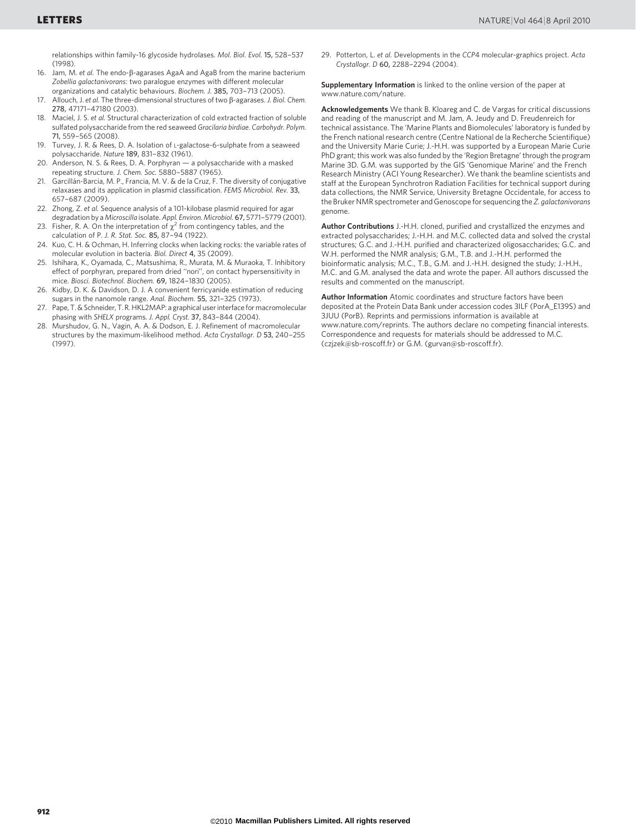relationships within family-16 glycoside hydrolases. Mol. Biol. Evol. 15, 528–537 (1998).

- 16. Jam, M. et al. The endo-b-agarases AgaA and AgaB from the marine bacterium Zobellia galactanivorans: two paralogue enzymes with different molecular organizations and catalytic behaviours. Biochem. J. 385, 703–713 (2005).
- 17. Allouch, J. et al. The three-dimensional structures of two  $\beta$ -agarases. J. Biol. Chem. 278, 47171–47180 (2003).
- 18. Maciel, J. S. et al. Structural characterization of cold extracted fraction of soluble sulfated polysaccharide from the red seaweed Gracilaria birdiae. Carbohydr. Polym. 71, 559–565 (2008).
- 19. Turvey, J. R. & Rees, D. A. Isolation of L-galactose-6-sulphate from a seaweed polysaccharide. Nature 189, 831–832 (1961).
- 20. Anderson, N. S. & Rees, D. A. Porphyran a polysaccharide with a masked repeating structure. J. Chem. Soc. 5880–5887 (1965).
- 21. Garcillán-Barcia, M. P., Francia, M. V. & de la Cruz, F. The diversity of conjugative relaxases and its application in plasmid classification. FEMS Microbiol. Rev. 33, 657–687 (2009).
- 22. Zhong, Z. et al. Sequence analysis of a 101-kilobase plasmid required for agar degradation by a Microscilla isolate. Appl. Environ. Microbiol. 67, 5771-5779 (2001).
- 23. Fisher, R. A. On the interpretation of  $\chi^2$  from contingency tables, and the calculation of P. J. R. Stat. Soc. 85, 87–94 (1922).
- 24. Kuo, C. H. & Ochman, H. Inferring clocks when lacking rocks: the variable rates of molecular evolution in bacteria. Biol. Direct 4, 35 (2009).
- 25. Ishihara, K., Oyamada, C., Matsushima, R., Murata, M. & Muraoka, T. Inhibitory effect of porphyran, prepared from dried ''nori'', on contact hypersensitivity in mice. Biosci. Biotechnol. Biochem. 69, 1824–1830 (2005).
- 26. Kidby, D. K. & Davidson, D. J. A convenient ferricyanide estimation of reducing sugars in the nanomole range. Anal. Biochem. 55, 321-325 (1973).
- 27. Pape, T.& Schneider, T. R. HKL2MAP: a graphical user interface for macromolecular phasing with SHELX programs. J. Appl. Cryst. 37, 843–844 (2004).
- 28. Murshudov, G. N., Vagin, A. A. & Dodson, E. J. Refinement of macromolecular structures by the maximum-likelihood method. Acta Crystallogr. D 53, 240–255 (1997).

29. Potterton, L. et al. Developments in the CCP4 molecular-graphics project. Acta Crystallogr. D 60, 2288–2294 (2004).

Supplementary Information is linked to the online version of the paper at <www.nature.com/nature>.

Acknowledgements We thank B. Kloareg and C. de Vargas for critical discussions and reading of the manuscript and M. Jam, A. Jeudy and D. Freudenreich for technical assistance. The 'Marine Plants and Biomolecules' laboratory is funded by the French national research centre (Centre National de la Recherche Scientifique) and the University Marie Curie; J.-H.H. was supported by a European Marie Curie PhD grant; this work was also funded by the 'Region Bretagne' through the program Marine 3D. G.M. was supported by the GIS 'Genomique Marine' and the French Research Ministry (ACI Young Researcher). We thank the beamline scientists and staff at the European Synchrotron Radiation Facilities for technical support during data collections, the NMR Service, University Bretagne Occidentale, for access to the Bruker NMR spectrometer and Genoscope for sequencing the Z. galactanivorans genome.

Author Contributions J.-H.H. cloned, purified and crystallized the enzymes and extracted polysaccharides; J.-H.H. and M.C. collected data and solved the crystal structures; G.C. and J.-H.H. purified and characterized oligosaccharides; G.C. and W.H. performed the NMR analysis; G.M., T.B. and J.-H.H. performed the bioinformatic analysis; M.C., T.B., G.M. and J.-H.H. designed the study; J.-H.H., M.C. and G.M. analysed the data and wrote the paper. All authors discussed the results and commented on the manuscript.

Author Information Atomic coordinates and structure factors have been deposited at the Protein Data Bank under accession codes 3ILF (PorA\_E139S) and 3JUU (PorB). Reprints and permissions information is available at <www.nature.com/reprints>. The authors declare no competing financial interests. Correspondence and requests for materials should be addressed to M.C. [\(czjzek@sb-roscoff.fr\)](mailto:czjzek@sb-roscoff.fr) or G.M. [\(gurvan@sb-roscoff.fr\)](mailto:gurvan@sb-roscoff.fr).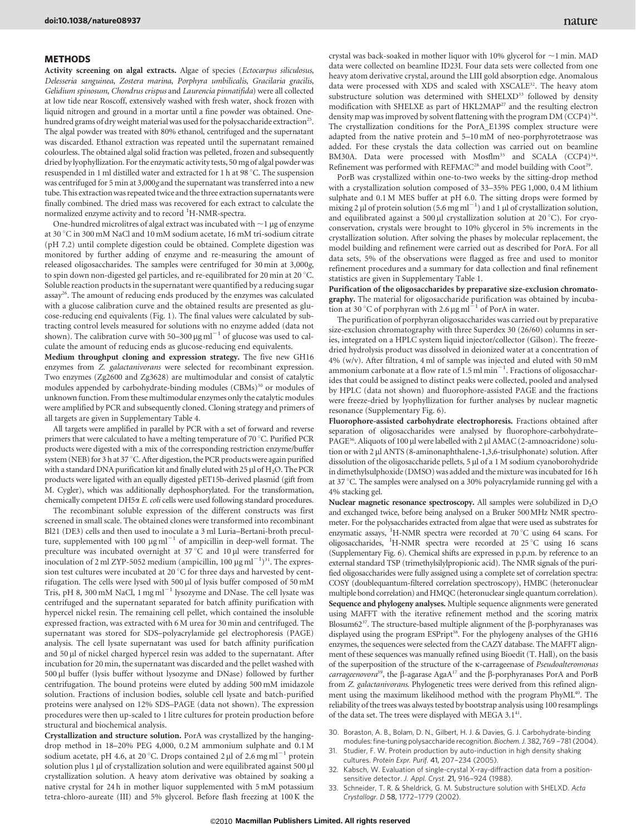#### **METHODS**

Activity screening on algal extracts. Algae of species (Ectocarpus siliculosus, Delesseria sanguinea, Zostera marina, Porphyra umbilicalis, Gracilaria gracilis, Gelidium spinosum, Chondrus crispus and Laurencia pinnatifida) were all collected at low tide near Roscoff, extensively washed with fresh water, shock frozen with liquid nitrogen and ground in a mortar until a fine powder was obtained. Onehundred grams of dry weight material was used for the polysaccharide extraction<sup>25</sup>. The algal powder was treated with 80% ethanol, centrifuged and the supernatant was discarded. Ethanol extraction was repeated until the supernatant remained colourless. The obtained algal solid fraction was pelleted, frozen and subsequently dried by lyophyllization. For the enzymatic activity tests, 50 mg of algal powder was resuspended in 1 ml distilled water and extracted for 1 h at 98 °C. The suspension was centrifuged for 5 min at 3,000g and the supernatant was transferred into a new tube. This extraction was repeated twice and the three extraction supernatants were finally combined. The dried mass was recovered for each extract to calculate the normalized enzyme activity and to record <sup>1</sup>H-NMR-spectra.

One-hundred microlitres of algal extract was incubated with  $\sim$  1 µg of enzyme at 30 °C in 300 mM NaCl and 10 mM sodium acetate, 16 mM tri-sodium citrate (pH 7.2) until complete digestion could be obtained. Complete digestion was monitored by further adding of enzyme and re-measuring the amount of released oligosaccharides. The samples were centrifuged for 30 min at 3,000g, to spin down non-digested gel particles, and re-equilibrated for 20 min at 20  $^{\circ}$ C. Soluble reaction products in the supernatant were quantified by a reducing sugar assay26. The amount of reducing ends produced by the enzymes was calculated with a glucose calibration curve and the obtained results are presented as glucose-reducing end equivalents (Fig. 1). The final values were calculated by subtracting control levels measured for solutions with no enzyme added (data not shown). The calibration curve with 50–300  $\mu$ g ml<sup>-1</sup> of glucose was used to calculate the amount of reducing ends as glucose-reducing end equivalents.

Medium throughput cloning and expression strategy. The five new GH16 enzymes from Z. galactanivorans were selected for recombinant expression. Two enzymes (Zg2600 and Zg3628) are multimodular and consist of catalytic modules appended by carbohydrate-binding modules (CBMs)<sup>30</sup> or modules of unknown function. From these multimodular enzymes only the catalytic modules were amplified by PCR and subsequently cloned. Cloning strategy and primers of all targets are given in Supplementary Table 4.

All targets were amplified in parallel by PCR with a set of forward and reverse primers that were calculated to have a melting temperature of 70 °C. Purified PCR products were digested with a mix of the corresponding restriction enzyme/buffer system (NEB) for 3 h at 37 °C. After digestion, the PCR products were again purified with a standard DNA purification kit and finally eluted with 25  $\mu$ l of H<sub>2</sub>O. The PCR products were ligated with an equally digested pET15b-derived plasmid (gift from M. Cygler), which was additionally dephosphorylated. For the transformation, chemically competent DH5 $\alpha$  E. coli cells were used following standard procedures.

The recombinant soluble expression of the different constructs was first screened in small scale. The obtained clones were transformed into recombinant Bl21 (DE3) cells and then used to inoculate a 3 ml Luria–Bertani-broth preculture, supplemented with 100  $\mu$ g ml<sup>-1</sup> of ampicillin in deep-well format. The preculture was incubated overnight at 37 °C and 10  $\mu$ l were transferred for inoculation of 2 ml ZYP-5052 medium (ampicillin, 100  $\mu$ g ml<sup>-1</sup>)<sup>31</sup>. The expression test cultures were incubated at 20 $\degree$ C for three days and harvested by centrifugation. The cells were lysed with 500 µl of lysis buffer composed of 50 mM Tris, pH 8, 300 mM NaCl, 1 mg ml<sup> $-1$ </sup> lysozyme and DNase. The cell lysate was centrifuged and the supernatant separated for batch affinity purification with hypercel nickel resin. The remaining cell pellet, which contained the insoluble expressed fraction, was extracted with 6 M urea for 30 min and centrifuged. The supernatant was stored for SDS–polyacrylamide gel electrophoresis (PAGE) analysis. The cell lysate supernatant was used for batch affinity purification and 50 µl of nickel charged hypercel resin was added to the supernatant. After incubation for 20 min, the supernatant was discarded and the pellet washed with 500 ml buffer (lysis buffer without lysozyme and DNase) followed by further centrifugation. The bound proteins were eluted by adding 500 mM imidazole solution. Fractions of inclusion bodies, soluble cell lysate and batch-purified proteins were analysed on 12% SDS–PAGE (data not shown). The expression procedures were then up-scaled to 1 litre cultures for protein production before structural and biochemical analysis.

Crystallization and structure solution. PorA was crystallized by the hangingdrop method in 18–20% PEG 4,000, 0.2 M ammonium sulphate and 0.1 M sodium acetate, pH 4.6, at 20 °C. Drops contained 2  $\mu$ l of 2.6 mg ml<sup>-1</sup> protein solution plus 1  $\mu$ l of crystallization solution and were equilibrated against 500  $\mu$ l crystallization solution. A heavy atom derivative was obtained by soaking a native crystal for 24 h in mother liquor supplemented with 5 mM potassium tetra-chloro-aureate (III) and 5% glycerol. Before flash freezing at 100 K the crystal was back-soaked in mother liquor with 10% glycerol for  $\sim$ 1 min. MAD data were collected on beamline ID23I. Four data sets were collected from one heavy atom derivative crystal, around the LIII gold absorption edge. Anomalous data were processed with XDS and scaled with XSCALE32. The heavy atom substructure solution was determined with SHELXD<sup>33</sup> followed by density modification with SHELXE as part of HKL2MAP27 and the resulting electron density map was improved by solvent flattening with the program DM  $(CCP4)^{34}$ . The crystallization conditions for the PorA\_E139S complex structure were adapted from the native protein and 5–10 mM of neo-porphyrotetraose was added. For these crystals the data collection was carried out on beamline BM30A. Data were processed with Mosflm<sup>35</sup> and SCALA (CCP4)<sup>34</sup>. Refinement was performed with REFMAC<sup>28</sup> and model building with Coot<sup>29</sup>.

PorB was crystallized within one-to-two weeks by the sitting-drop method with a crystallization solution composed of 33–35% PEG 1,000, 0.4 M lithium sulphate and 0.1 M MES buffer at pH 6.0. The sitting drops were formed by mixing 2  $\mu$ l of protein solution (5.6 mg ml<sup>-1</sup>) and 1  $\mu$ l of crystallization solution, and equilibrated against a 500  $\mu$ l crystallization solution at 20 °C). For cryoconservation, crystals were brought to 10% glycerol in 5% increments in the crystallization solution. After solving the phases by molecular replacement, the model building and refinement were carried out as described for PorA. For all data sets, 5% of the observations were flagged as free and used to monitor refinement procedures and a summary for data collection and final refinement statistics are given in Supplementary Table 1.

Purification of the oligosaccharides by preparative size-exclusion chromato**graphy.** The material for oligosaccharide purification was obtained by incubation at 30 °C of porphyran with 2.6  $\mu$ gml<sup>-1</sup> of PorA in water.

The purification of porphyran oligosaccharides was carried out by preparative size-exclusion chromatography with three Superdex 30 (26/60) columns in series, integrated on a HPLC system liquid injector/collector (Gilson). The freezedried hydrolysis product was dissolved in deionized water at a concentration of 4% (w/v). After filtration, 4 ml of sample was injected and eluted with 50 mM ammonium carbonate at a flow rate of  $1.5$  ml  $\text{min}^{-1}$ . Fractions of oligosaccharides that could be assigned to distinct peaks were collected, pooled and analysed by HPLC (data not shown) and fluorophore-assisted PAGE and the fractions were freeze-dried by lyophyllization for further analyses by nuclear magnetic resonance (Supplementary Fig. 6).

Fluorophore-assisted carbohydrate electrophoresis. Fractions obtained after separation of oligosaccharides were analysed by fluorophore-carbohydrate– PAGE<sup>36</sup>. Aliquots of 100 µl were labelled with 2 µl AMAC (2-amnoacridone) solution or with 2 µl ANTS (8-aminonaphthalene-1,3,6-trisulphonate) solution. After dissolution of the oligosaccharide pellets, 5 µl of a 1 M sodium cyanoborohydride in dimethylsulphoxide (DMSO) was added and the mixture was incubated for 16 h at 37 °C. The samples were analysed on a 30% polyacrylamide running gel with a 4% stacking gel.

Nuclear magnetic resonance spectroscopy. All samples were solubilized in D<sub>2</sub>O and exchanged twice, before being analysed on a Bruker 500MHz NMR spectrometer. For the polysaccharides extracted from algae that were used as substrates for enzymatic assays, <sup>1</sup>H-NMR spectra were recorded at 70 °C using 64 scans. For oligosaccharides, <sup>1</sup>H-NMR spectra were recorded at 25 °C using 16 scans (Supplementary Fig. 6). Chemical shifts are expressed in p.p.m. by reference to an external standard TSP (trimethylsilylpropionic acid). The NMR signals of the purified oligosaccharides were fully assigned using a complete set of correlation spectra: COSY (doublequantum-filtered correlation spectroscopy), HMBC (heteronuclear multiple bond correlation) and HMQC (heteronuclear single quantum correlation). Sequence and phylogeny analyses. Multiple sequence alignments were generated using MAFFT with the iterative refinement method and the scoring matrix Blosum62 $37$ . The structure-based multiple alignment of the  $\beta$ -porphyranases was displayed using the program ESPript<sup>38</sup>. For the phylogeny analyses of the GH16 enzymes, the sequences were selected from the CAZY database. The MAFFT alignment of these sequences was manually refined using Bioedit (T. Hall), on the basis of the superposition of the structure of the k-carrageenase of Pseudoalteromonas carrageenovora<sup>39</sup>, the  $\beta$ -agarase AgaA<sup>17</sup> and the  $\beta$ -porphyranases PorA and PorB from Z. galactanivorans. Phylogenetic trees were derived from this refined alignment using the maximum likelihood method with the program PhyML<sup>40</sup>. The reliability of the trees was always tested by bootstrap analysis using 100 resamplings of the data set. The trees were displayed with MEGA 3.1<sup>41</sup>.

- 30. Boraston, A. B., Bolam, D. N., Gilbert, H. J. & Davies, G. J. Carbohydrate-binding modules: fine-tuning polysaccharide recognition. Biochem. J. 382, 769–781 (2004).
- 31. Studier, F. W. Protein production by auto-induction in high density shaking cultures. Protein Expr. Purif. 41, 207–234 (2005).
- 32. Kabsch, W. Evaluation of single-crystal X-ray-diffraction data from a positionsensitive detector. J. Appl. Cryst. 21, 916-924 (1988).
- 33. Schneider, T. R. & Sheldrick, G. M. Substructure solution with SHELXD. Acta Crystallogr. D 58, 1772–1779 (2002).